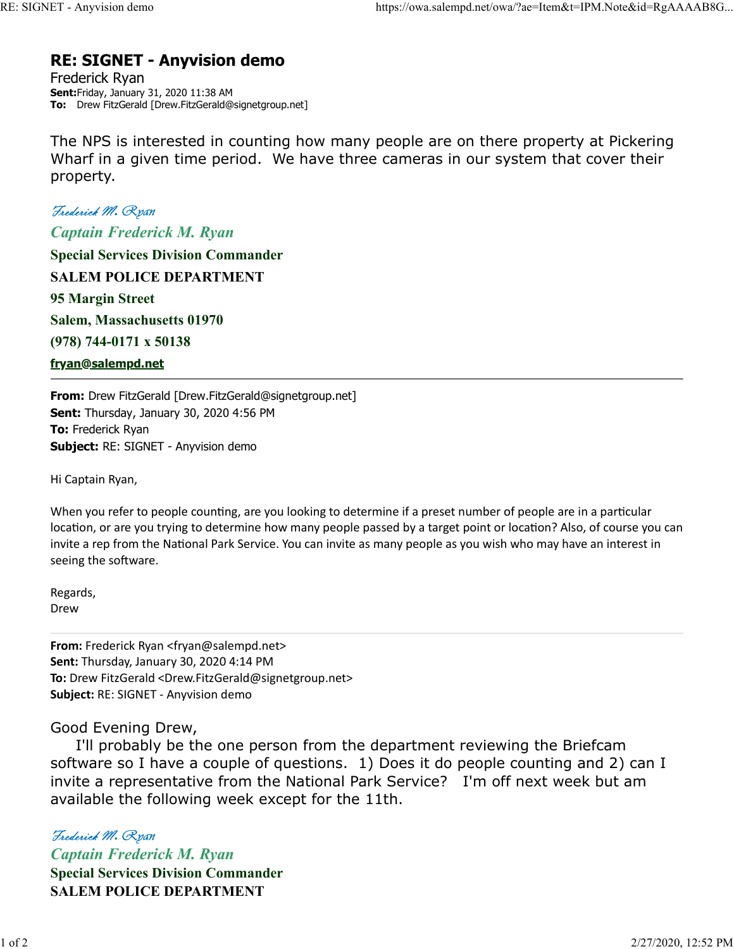# RE: SIGNET - Anyvision demo RE: SIGNET - Anyvision demo https://owa.salempd.net/owa/?ae=Item&t=IPM.Note&id=RgAAAAB8G...<br> **RE: SIGNET - Anyvision demo**<br>
Frederick Ryan

Frederick Ryan Sent:Friday, January 31, 2020 11:38 AM To: Drew FitzGerald [Drew.FitzGerald@signetgroup.net]

The NPS is interested in counting how many people are on there property at Pickering Wharf in a given time period. We have three cameras in our system that cover their property.

ET - Anyvision demo<br> **RE: SIGNET - Anyvision demo**<br>
Frederick Ryan<br>
Sent:Friday, January 31, 2020 11:38 AM<br>
To: Drew FitzGerald (Drew.FitzGerald@signetgroup.net)<br>
The NPS is interested in counting how many people are on th Captain Frederick M. Ryan Special Services Division Commander SALEM POLICE DEPARTMENT 95 Margin Street Salem, Massachusetts 01970 (978) 744-0171 x 50138 fryan@salempd.net

From: Drew FitzGerald [Drew.FitzGerald@signetgroup.net] Sent: Thursday, January 30, 2020 4:56 PM To: Frederick Ryan Subject: RE: SIGNET - Anyvision demo

Hi Captain Ryan,

When you refer to people counting, are you looking to determine if a preset number of people are in a particular location, or are you trying to determine how many people passed by a target point or location? Also, of course you can invite a rep from the National Park Service. You can invite as many people as you wish who may have an interest in seeing the software.

Regards, Drew **Drew Drew Drew** 

From: Frederick Ryan <fryan@salempd.net> Sent: Thursday, January 30, 2020 4:14 PM To: Drew FitzGerald <Drew.FitzGerald@signetgroup.net> Subject: RE: SIGNET - Anyvision demo

# Good Evening Drew,

 I'll probably be the one person from the department reviewing the Briefcam software so I have a couple of questions. 1) Does it do people counting and 2) can I invite a representative from the National Park Service? I'm off next week but am available the following week except for the 11th. Seeing the software.<br>
Regards,<br>
Derw<br>
From: Frederick Ryan <fryan@salempd.net><br>
Sent: Thursday, January 30, 2020 4:14 PM<br>
To: Drew FitzGerald <Drew.FitzGerald@signetgroup.net><br>
Subject: RE: SIGNET - Anyvision demo<br>
Good Ev

Captain Frederick M. Ryan Special Services Division Commander SALEM POLICE DEPARTMENT